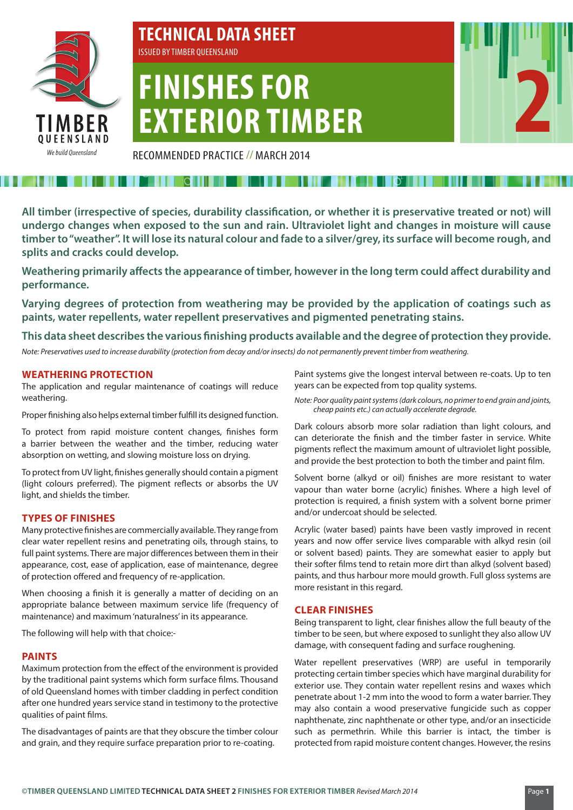

# **TECHNICAL DATA SHEET** ISSUED BY TIMBER QUEENSLAND

# **FINISHES FOR EXTERIOR TIMBER**

RECOMMENDED PRACTICE // MARCH 2014

**All timber (irrespective of species, durability classification, or whether it is preservative treated or not) will undergo changes when exposed to the sun and rain. Ultraviolet light and changes in moisture will cause timber to "weather". It will lose its natural colour and fade to a silver/grey, its surface will become rough, and splits and cracks could develop.**

**Weathering primarily affects the appearance of timber, however in the long term could affect durability and performance.**

**Varying degrees of protection from weathering may be provided by the application of coatings such as paints, water repellents, water repellent preservatives and pigmented penetrating stains.** 

**This data sheet describes the various finishing products available and the degree of protection they provide.**

*Note: Preservatives used to increase durability (protection from decay and/or insects) do not permanently prevent timber from weathering.*

# **WEATHERING PROTECTION**

The application and regular maintenance of coatings will reduce weathering.

Proper finishing also helps external timber fulfill its designed function.

To protect from rapid moisture content changes, finishes form a barrier between the weather and the timber, reducing water absorption on wetting, and slowing moisture loss on drying.

To protect from UV light, finishes generally should contain a pigment (light colours preferred). The pigment reflects or absorbs the UV light, and shields the timber.

#### **TYPES OF FINISHES**

Many protective finishes are commercially available. They range from clear water repellent resins and penetrating oils, through stains, to full paint systems. There are major differences between them in their appearance, cost, ease of application, ease of maintenance, degree of protection offered and frequency of re-application.

When choosing a finish it is generally a matter of deciding on an appropriate balance between maximum service life (frequency of maintenance) and maximum 'naturalness' in its appearance.

The following will help with that choice:-

#### **PAINTS**

Maximum protection from the effect of the environment is provided by the traditional paint systems which form surface films. Thousand of old Queensland homes with timber cladding in perfect condition after one hundred years service stand in testimony to the protective qualities of paint films.

The disadvantages of paints are that they obscure the timber colour and grain, and they require surface preparation prior to re-coating.

Paint systems give the longest interval between re-coats. Up to ten years can be expected from top quality systems.

*Note: Poor quality paint systems (dark colours, no primer to end grain and joints, cheap paints etc.) can actually accelerate degrade.*

Dark colours absorb more solar radiation than light colours, and can deteriorate the finish and the timber faster in service. White pigments reflect the maximum amount of ultraviolet light possible, and provide the best protection to both the timber and paint film.

Solvent borne (alkyd or oil) finishes are more resistant to water vapour than water borne (acrylic) finishes. Where a high level of protection is required, a finish system with a solvent borne primer and/or undercoat should be selected.

Acrylic (water based) paints have been vastly improved in recent years and now offer service lives comparable with alkyd resin (oil or solvent based) paints. They are somewhat easier to apply but their softer films tend to retain more dirt than alkyd (solvent based) paints, and thus harbour more mould growth. Full gloss systems are more resistant in this regard.

#### **CLEAR FINISHES**

Being transparent to light, clear finishes allow the full beauty of the timber to be seen, but where exposed to sunlight they also allow UV damage, with consequent fading and surface roughening.

Water repellent preservatives (WRP) are useful in temporarily protecting certain timber species which have marginal durability for exterior use. They contain water repellent resins and waxes which penetrate about 1-2 mm into the wood to form a water barrier. They may also contain a wood preservative fungicide such as copper naphthenate, zinc naphthenate or other type, and/or an insecticide such as permethrin. While this barrier is intact, the timber is protected from rapid moisture content changes. However, the resins

**2**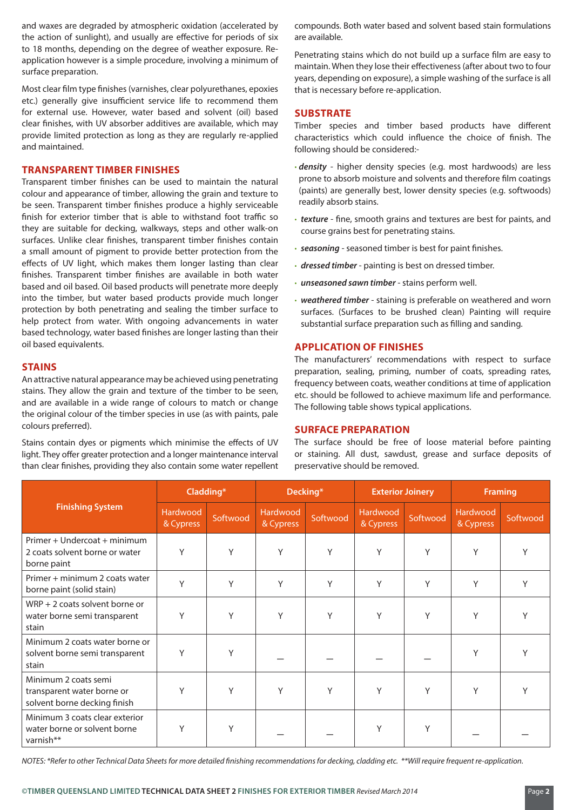and waxes are degraded by atmospheric oxidation (accelerated by the action of sunlight), and usually are effective for periods of six to 18 months, depending on the degree of weather exposure. Reapplication however is a simple procedure, involving a minimum of surface preparation.

Most clear film type finishes (varnishes, clear polyurethanes, epoxies etc.) generally give insufficient service life to recommend them for external use. However, water based and solvent (oil) based clear finishes, with UV absorber additives are available, which may provide limited protection as long as they are regularly re-applied and maintained.

# **TRANSPARENT TIMBER FINISHES**

Transparent timber finishes can be used to maintain the natural colour and appearance of timber, allowing the grain and texture to be seen. Transparent timber finishes produce a highly serviceable finish for exterior timber that is able to withstand foot traffic so they are suitable for decking, walkways, steps and other walk-on surfaces. Unlike clear finishes, transparent timber finishes contain a small amount of pigment to provide better protection from the effects of UV light, which makes them longer lasting than clear finishes. Transparent timber finishes are available in both water based and oil based. Oil based products will penetrate more deeply into the timber, but water based products provide much longer protection by both penetrating and sealing the timber surface to help protect from water. With ongoing advancements in water based technology, water based finishes are longer lasting than their oil based equivalents.

#### **STAINS**

An attractive natural appearance may be achieved using penetrating stains. They allow the grain and texture of the timber to be seen, and are available in a wide range of colours to match or change the original colour of the timber species in use (as with paints, pale colours preferred).

Stains contain dyes or pigments which minimise the effects of UV light. They offer greater protection and a longer maintenance interval than clear finishes, providing they also contain some water repellent compounds. Both water based and solvent based stain formulations are available.

Penetrating stains which do not build up a surface film are easy to maintain. When they lose their effectiveness (after about two to four years, depending on exposure), a simple washing of the surface is all that is necessary before re-application.

# **SUBSTRATE**

Timber species and timber based products have different characteristics which could influence the choice of finish. The following should be considered:-

- **·** *density* higher density species (e.g. most hardwoods) are less prone to absorb moisture and solvents and therefore film coatings (paints) are generally best, lower density species (e.g. softwoods) readily absorb stains.
- **·** *texture* fine, smooth grains and textures are best for paints, and course grains best for penetrating stains.
- **·** *seasoning* seasoned timber is best for paint finishes.
- **·** *dressed timber* painting is best on dressed timber.
- **·** *unseasoned sawn timber* stains perform well.
- **·** *weathered timber* staining is preferable on weathered and worn surfaces. (Surfaces to be brushed clean) Painting will require substantial surface preparation such as filling and sanding.

# **APPLICATION OF FINISHES**

The manufacturers' recommendations with respect to surface preparation, sealing, priming, number of coats, spreading rates, frequency between coats, weather conditions at time of application etc. should be followed to achieve maximum life and performance. The following table shows typical applications.

#### **SURFACE PREPARATION**

The surface should be free of loose material before painting or staining. All dust, sawdust, grease and surface deposits of preservative should be removed.

| <b>Finishing System</b>                                                            | Cladding*             |          | Decking*              |          | <b>Exterior Joinery</b>      |          | <b>Framing</b>        |          |
|------------------------------------------------------------------------------------|-----------------------|----------|-----------------------|----------|------------------------------|----------|-----------------------|----------|
|                                                                                    | Hardwood<br>& Cypress | Softwood | Hardwood<br>& Cypress | Softwood | <b>Hardwood</b><br>& Cypress | Softwood | Hardwood<br>& Cypress | Softwood |
| Primer + Undercoat + minimum<br>2 coats solvent borne or water<br>borne paint      | Y                     | Y        | Y                     | Y        | Y                            | Y        | Y                     | Υ        |
| Primer + minimum 2 coats water<br>borne paint (solid stain)                        | Y                     | Y        | Y                     | Y        | Y                            | Y        | Υ                     | Υ        |
| $WRP + 2$ coats solvent borne or<br>water borne semi transparent<br>stain          | Y                     | Y        | Y                     | Y        | Y                            | Y        | Y                     | Υ        |
| Minimum 2 coats water borne or<br>solvent borne semi transparent<br>stain          | Y                     | Υ        |                       |          |                              |          | Υ                     |          |
| Minimum 2 coats semi<br>transparent water borne or<br>solvent borne decking finish | Y                     | Y        | Y                     | Y        | Y                            | Y        | Υ                     | v        |
| Minimum 3 coats clear exterior<br>water borne or solvent borne<br>varnish**        | Y                     | Υ        |                       |          | Υ                            | Υ        |                       |          |

*NOTES: \*Refer to other Technical Data Sheets for more detailed finishing recommendations for decking, cladding etc. \*\*Will require frequent re-application.*